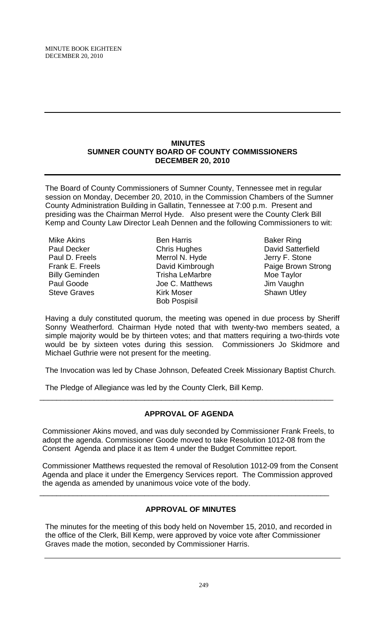### **MINUTES SUMNER COUNTY BOARD OF COUNTY COMMISSIONERS DECEMBER 20, 2010**

The Board of County Commissioners of Sumner County, Tennessee met in regular session on Monday, December 20, 2010, in the Commission Chambers of the Sumner County Administration Building in Gallatin, Tennessee at 7:00 p.m. Present and presiding was the Chairman Merrol Hyde. Also present were the County Clerk Bill Kemp and County Law Director Leah Dennen and the following Commissioners to wit:

Mike Akins Paul Decker Paul D. Freels Frank E. Freels Billy Geminden Paul Goode Steve Graves

Ben Harris Chris Hughes Merrol N. Hyde David Kimbrough Trisha LeMarbre Joe C. Matthews Kirk Moser Bob Pospisil

Baker Ring David Satterfield Jerry F. Stone Paige Brown Strong Moe Taylor Jim Vaughn Shawn Utley

Having a duly constituted quorum, the meeting was opened in due process by Sheriff Sonny Weatherford. Chairman Hyde noted that with twenty-two members seated, a simple majority would be by thirteen votes; and that matters requiring a two-thirds vote would be by sixteen votes during this session. Commissioners Jo Skidmore and Michael Guthrie were not present for the meeting.

The Invocation was led by Chase Johnson, Defeated Creek Missionary Baptist Church.

The Pledge of Allegiance was led by the County Clerk, Bill Kemp.

# **APPROVAL OF AGENDA**

\_\_\_\_\_\_\_\_\_\_\_\_\_\_\_\_\_\_\_\_\_\_\_\_\_\_\_\_\_\_\_\_\_\_\_\_\_\_\_\_\_\_\_\_\_\_\_\_\_\_\_\_\_\_\_\_\_\_\_\_\_\_\_\_\_\_\_\_\_\_

 Commissioner Akins moved, and was duly seconded by Commissioner Frank Freels, to adopt the agenda. Commissioner Goode moved to take Resolution 1012-08 from the Consent Agenda and place it as Item 4 under the Budget Committee report.

 Commissioner Matthews requested the removal of Resolution 1012-09 from the Consent Agenda and place it under the Emergency Services report. The Commission approved the agenda as amended by unanimous voice vote of the body.

\_\_\_\_\_\_\_\_\_\_\_\_\_\_\_\_\_\_\_\_\_\_\_\_\_\_\_\_\_\_\_\_\_\_\_\_\_\_\_\_\_\_\_\_\_\_\_\_\_\_\_\_\_\_\_\_\_\_\_\_\_\_\_\_\_\_\_\_\_

# **APPROVAL OF MINUTES**

The minutes for the meeting of this body held on November 15, 2010, and recorded in the office of the Clerk, Bill Kemp, were approved by voice vote after Commissioner Graves made the motion, seconded by Commissioner Harris.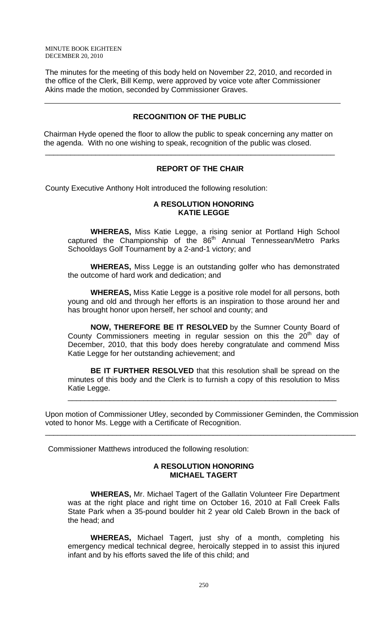The minutes for the meeting of this body held on November 22, 2010, and recorded in the office of the Clerk, Bill Kemp, were approved by voice vote after Commissioner Akins made the motion, seconded by Commissioner Graves.

# **RECOGNITION OF THE PUBLIC**

 Chairman Hyde opened the floor to allow the public to speak concerning any matter on the agenda. With no one wishing to speak, recognition of the public was closed.

\_\_\_\_\_\_\_\_\_\_\_\_\_\_\_\_\_\_\_\_\_\_\_\_\_\_\_\_\_\_\_\_\_\_\_\_\_\_\_\_\_\_\_\_\_\_\_\_\_\_\_\_\_\_\_\_\_\_\_\_\_\_\_\_\_\_\_\_\_

# **REPORT OF THE CHAIR**

County Executive Anthony Holt introduced the following resolution:

# **A RESOLUTION HONORING KATIE LEGGE**

**WHEREAS,** Miss Katie Legge, a rising senior at Portland High School captured the Championship of the 86<sup>th</sup> Annual Tennessean/Metro Parks Schooldays Golf Tournament by a 2-and-1 victory; and

 **WHEREAS,** Miss Legge is an outstanding golfer who has demonstrated the outcome of hard work and dedication; and

**WHEREAS,** Miss Katie Legge is a positive role model for all persons, both young and old and through her efforts is an inspiration to those around her and has brought honor upon herself, her school and county; and

**NOW, THEREFORE BE IT RESOLVED** by the Sumner County Board of County Commissioners meeting in regular session on this the  $20<sup>th</sup>$  day of December, 2010, that this body does hereby congratulate and commend Miss Katie Legge for her outstanding achievement; and

**BE IT FURTHER RESOLVED** that this resolution shall be spread on the minutes of this body and the Clerk is to furnish a copy of this resolution to Miss Katie Legge.

\_\_\_\_\_\_\_\_\_\_\_\_\_\_\_\_\_\_\_\_\_\_\_\_\_\_\_\_\_\_\_\_\_\_\_\_\_\_\_\_\_\_\_\_\_\_\_\_\_\_\_\_\_\_\_\_\_\_\_\_\_\_\_\_

Upon motion of Commissioner Utley, seconded by Commissioner Geminden, the Commission voted to honor Ms. Legge with a Certificate of Recognition.

\_\_\_\_\_\_\_\_\_\_\_\_\_\_\_\_\_\_\_\_\_\_\_\_\_\_\_\_\_\_\_\_\_\_\_\_\_\_\_\_\_\_\_\_\_\_\_\_\_\_\_\_\_\_\_\_\_\_\_\_\_\_\_\_\_\_\_\_\_\_\_\_\_\_

Commissioner Matthews introduced the following resolution:

### **A RESOLUTION HONORING MICHAEL TAGERT**

**WHEREAS,** Mr. Michael Tagert of the Gallatin Volunteer Fire Department was at the right place and right time on October 16, 2010 at Fall Creek Falls State Park when a 35-pound boulder hit 2 year old Caleb Brown in the back of the head; and

 **WHEREAS,** Michael Tagert, just shy of a month, completing his emergency medical technical degree, heroically stepped in to assist this injured infant and by his efforts saved the life of this child; and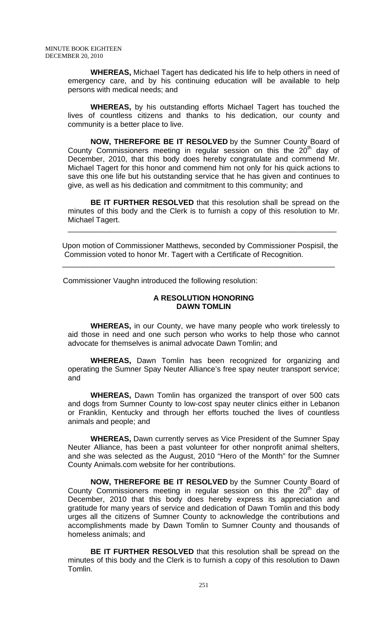**WHEREAS,** Michael Tagert has dedicated his life to help others in need of emergency care, and by his continuing education will be available to help persons with medical needs; and

**WHEREAS,** by his outstanding efforts Michael Tagert has touched the lives of countless citizens and thanks to his dedication, our county and community is a better place to live.

**NOW, THEREFORE BE IT RESOLVED** by the Sumner County Board of County Commissioners meeting in regular session on this the  $20<sup>th</sup>$  day of December, 2010, that this body does hereby congratulate and commend Mr. Michael Tagert for this honor and commend him not only for his quick actions to save this one life but his outstanding service that he has given and continues to give, as well as his dedication and commitment to this community; and

**BE IT FURTHER RESOLVED** that this resolution shall be spread on the minutes of this body and the Clerk is to furnish a copy of this resolution to Mr. Michael Tagert.

\_\_\_\_\_\_\_\_\_\_\_\_\_\_\_\_\_\_\_\_\_\_\_\_\_\_\_\_\_\_\_\_\_\_\_\_\_\_\_\_\_\_\_\_\_\_\_\_\_\_\_\_\_\_\_\_\_\_\_\_\_\_\_\_

Upon motion of Commissioner Matthews, seconded by Commissioner Pospisil, the Commission voted to honor Mr. Tagert with a Certificate of Recognition.

\_\_\_\_\_\_\_\_\_\_\_\_\_\_\_\_\_\_\_\_\_\_\_\_\_\_\_\_\_\_\_\_\_\_\_\_\_\_\_\_\_\_\_\_\_\_\_\_\_\_\_\_\_\_\_\_\_\_\_\_\_\_\_\_\_

Commissioner Vaughn introduced the following resolution:

## **A RESOLUTION HONORING DAWN TOMLIN**

 **WHEREAS,** in our County, we have many people who work tirelessly to aid those in need and one such person who works to help those who cannot advocate for themselves is animal advocate Dawn Tomlin; and

**WHEREAS,** Dawn Tomlin has been recognized for organizing and operating the Sumner Spay Neuter Alliance's free spay neuter transport service; and

**WHEREAS,** Dawn Tomlin has organized the transport of over 500 cats and dogs from Sumner County to low-cost spay neuter clinics either in Lebanon or Franklin, Kentucky and through her efforts touched the lives of countless animals and people; and

**WHEREAS,** Dawn currently serves as Vice President of the Sumner Spay Neuter Alliance, has been a past volunteer for other nonprofit animal shelters, and she was selected as the August, 2010 "Hero of the Month" for the Sumner County Animals.com website for her contributions.

**NOW, THEREFORE BE IT RESOLVED** by the Sumner County Board of County Commissioners meeting in regular session on this the  $20<sup>th</sup>$  day of December, 2010 that this body does hereby express its appreciation and gratitude for many years of service and dedication of Dawn Tomlin and this body urges all the citizens of Sumner County to acknowledge the contributions and accomplishments made by Dawn Tomlin to Sumner County and thousands of homeless animals; and

**BE IT FURTHER RESOLVED** that this resolution shall be spread on the minutes of this body and the Clerk is to furnish a copy of this resolution to Dawn Tomlin.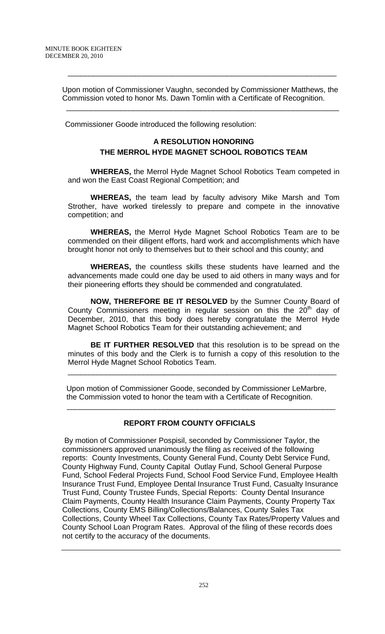Upon motion of Commissioner Vaughn, seconded by Commissioner Matthews, the Commission voted to honor Ms. Dawn Tomlin with a Certificate of Recognition.

 $\overline{\phantom{a}}$  , and the contribution of the contribution of the contribution of the contribution of the contribution of  $\overline{\phantom{a}}$ 

\_\_\_\_\_\_\_\_\_\_\_\_\_\_\_\_\_\_\_\_\_\_\_\_\_\_\_\_\_\_\_\_\_\_\_\_\_\_\_\_\_\_\_\_\_\_\_\_\_\_\_\_\_\_\_\_\_\_\_\_\_\_\_\_

Commissioner Goode introduced the following resolution:

# **A RESOLUTION HONORING THE MERROL HYDE MAGNET SCHOOL ROBOTICS TEAM**

 **WHEREAS,** the Merrol Hyde Magnet School Robotics Team competed in and won the East Coast Regional Competition; and

**WHEREAS,** the team lead by faculty advisory Mike Marsh and Tom Strother, have worked tirelessly to prepare and compete in the innovative competition; and

**WHEREAS,** the Merrol Hyde Magnet School Robotics Team are to be commended on their diligent efforts, hard work and accomplishments which have brought honor not only to themselves but to their school and this county; and

**WHEREAS,** the countless skills these students have learned and the advancements made could one day be used to aid others in many ways and for their pioneering efforts they should be commended and congratulated.

**NOW, THEREFORE BE IT RESOLVED** by the Sumner County Board of County Commissioners meeting in regular session on this the  $20<sup>th</sup>$  day of December, 2010, that this body does hereby congratulate the Merrol Hyde Magnet School Robotics Team for their outstanding achievement; and

**BE IT FURTHER RESOLVED** that this resolution is to be spread on the minutes of this body and the Clerk is to furnish a copy of this resolution to the Merrol Hyde Magnet School Robotics Team.

\_\_\_\_\_\_\_\_\_\_\_\_\_\_\_\_\_\_\_\_\_\_\_\_\_\_\_\_\_\_\_\_\_\_\_\_\_\_\_\_\_\_\_\_\_\_\_\_\_\_\_\_\_\_\_\_\_\_\_\_\_\_\_\_

 Upon motion of Commissioner Goode, seconded by Commissioner LeMarbre, the Commission voted to honor the team with a Certificate of Recognition.

# **REPORT FROM COUNTY OFFICIALS**

 $\overline{\phantom{a}}$  ,  $\overline{\phantom{a}}$  ,  $\overline{\phantom{a}}$  ,  $\overline{\phantom{a}}$  ,  $\overline{\phantom{a}}$  ,  $\overline{\phantom{a}}$  ,  $\overline{\phantom{a}}$  ,  $\overline{\phantom{a}}$  ,  $\overline{\phantom{a}}$  ,  $\overline{\phantom{a}}$  ,  $\overline{\phantom{a}}$  ,  $\overline{\phantom{a}}$  ,  $\overline{\phantom{a}}$  ,  $\overline{\phantom{a}}$  ,  $\overline{\phantom{a}}$  ,  $\overline{\phantom{a}}$ 

 By motion of Commissioner Pospisil, seconded by Commissioner Taylor, the commissioners approved unanimously the filing as received of the following reports: County Investments, County General Fund, County Debt Service Fund, County Highway Fund, County Capital Outlay Fund, School General Purpose Fund, School Federal Projects Fund, School Food Service Fund, Employee Health Insurance Trust Fund, Employee Dental Insurance Trust Fund, Casualty Insurance Trust Fund, County Trustee Funds, Special Reports: County Dental Insurance Claim Payments, County Health Insurance Claim Payments, County Property Tax Collections, County EMS Billing/Collections/Balances, County Sales Tax Collections, County Wheel Tax Collections, County Tax Rates/Property Values and County School Loan Program Rates. Approval of the filing of these records does not certify to the accuracy of the documents.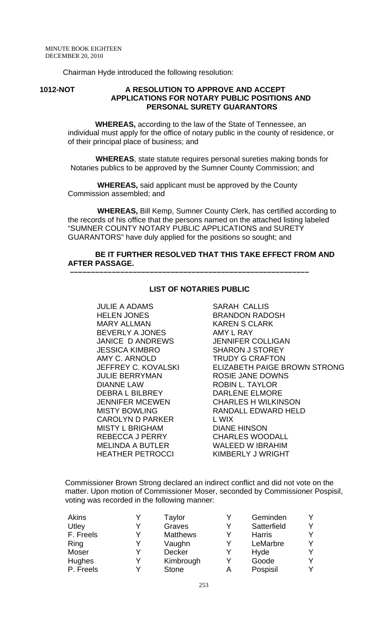Chairman Hyde introduced the following resolution:

#### **1012-NOT A RESOLUTION TO APPROVE AND ACCEPT APPLICATIONS FOR NOTARY PUBLIC POSITIONS AND PERSONAL SURETY GUARANTORS**

 **WHEREAS,** according to the law of the State of Tennessee, an individual must apply for the office of notary public in the county of residence, or of their principal place of business; and

 **WHEREAS**, state statute requires personal sureties making bonds for Notaries publics to be approved by the Sumner County Commission; and

 **WHEREAS,** said applicant must be approved by the County Commission assembled; and

 **–––––––––––––––––––––––––––––––––––––––––––––––––––––––––**

 **WHEREAS,** Bill Kemp, Sumner County Clerk, has certified according to the records of his office that the persons named on the attached listing labeled "SUMNER COUNTY NOTARY PUBLIC APPLICATIONS and SURETY GUARANTORS" have duly applied for the positions so sought; and

## **BE IT FURTHER RESOLVED THAT THIS TAKE EFFECT FROM AND AFTER PASSAGE.**

JULIE A ADAMS HELEN JONES MARY ALLMAN BEVERLY A JONES JANICE D ANDREWS JESSICA KIMBRO AMY C. ARNOLD JEFFREY C. KOVALSKI JULIE BERRYMAN DIANNE LAW DEBRA L BILBREY JENNIFER MCEWEN MISTY BOWLING CAROLYN D PARKER MISTY L BRIGHAM REBECCA J PERRY MELINDA A BUTLER HEATHER PETROCCI

#### **LIST OF NOTARIES PUBLIC**

SARAH CALLIS BRANDON RADOSH KAREN S CLARK AMY L RAY JENNIFER COLLIGAN SHARON J STOREY TRUDY G CRAFTON ELIZABETH PAIGE BROWN STRONG ROSIE JANE DOWNS ROBIN L. TAYLOR DARLENE ELMORE CHARLES H WILKINSON RANDALL EDWARD HELD L WIX DIANE HINSON CHARLES WOODALL WALEED W IBRAHIM KIMBERLY J WRIGHT

Commissioner Brown Strong declared an indirect conflict and did not vote on the matter. Upon motion of Commissioner Moser, seconded by Commissioner Pospisil, voting was recorded in the following manner:

| Akins     |   | Taylor          | Y | Geminden      |  |
|-----------|---|-----------------|---|---------------|--|
| Utley     | V | Graves          | Y | Satterfield   |  |
| F. Freels | V | <b>Matthews</b> | Y | <b>Harris</b> |  |
| Ring      | v | Vaughn          | Y | LeMarbre      |  |
| Moser     | v | Decker          | Y | Hyde          |  |
| Hughes    | v | Kimbrough       | Y | Goode         |  |
| P. Freels |   | <b>Stone</b>    | А | Pospisil      |  |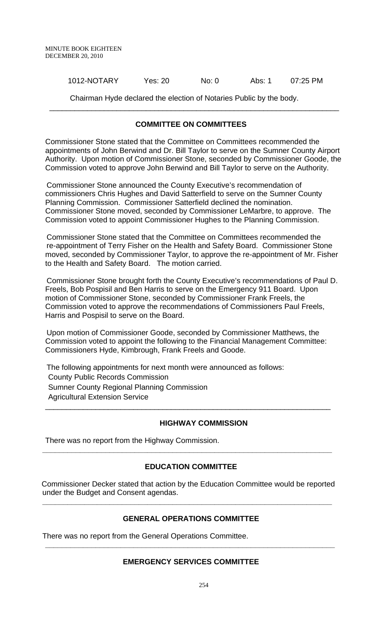1012-NOTARY Yes: 20 No: 0 Abs: 1 07:25 PM

Chairman Hyde declared the election of Notaries Public by the body.

# **COMMITTEE ON COMMITTEES**

 $\overline{\phantom{a}}$  , and the contribution of the contribution of the contribution of the contribution of the contribution of the contribution of the contribution of the contribution of the contribution of the contribution of the

Commissioner Stone stated that the Committee on Committees recommended the appointments of John Berwind and Dr. Bill Taylor to serve on the Sumner County Airport Authority. Upon motion of Commissioner Stone, seconded by Commissioner Goode, the Commission voted to approve John Berwind and Bill Taylor to serve on the Authority.

 Commissioner Stone announced the County Executive's recommendation of commissioners Chris Hughes and David Satterfield to serve on the Sumner County Planning Commission. Commissioner Satterfield declined the nomination. Commissioner Stone moved, seconded by Commissioner LeMarbre, to approve. The Commission voted to appoint Commissioner Hughes to the Planning Commission.

 Commissioner Stone stated that the Committee on Committees recommended the re-appointment of Terry Fisher on the Health and Safety Board. Commissioner Stone moved, seconded by Commissioner Taylor, to approve the re-appointment of Mr. Fisher to the Health and Safety Board. The motion carried.

 Commissioner Stone brought forth the County Executive's recommendations of Paul D. Freels, Bob Pospisil and Ben Harris to serve on the Emergency 911 Board. Upon motion of Commissioner Stone, seconded by Commissioner Frank Freels, the Commission voted to approve the recommendations of Commissioners Paul Freels, Harris and Pospisil to serve on the Board.

 Upon motion of Commissioner Goode, seconded by Commissioner Matthews, the Commission voted to appoint the following to the Financial Management Committee: Commissioners Hyde, Kimbrough, Frank Freels and Goode.

 The following appointments for next month were announced as follows: County Public Records Commission Sumner County Regional Planning Commission Agricultural Extension Service

### **HIGHWAY COMMISSION**

There was no report from the Highway Commission.

# **EDUCATION COMMITTEE**

**\_\_\_\_\_\_\_\_\_\_\_\_\_\_\_\_\_\_\_\_\_\_\_\_\_\_\_\_\_\_\_\_\_\_\_\_\_\_\_\_\_\_\_\_\_\_\_\_\_\_\_\_\_\_\_\_\_\_\_\_\_\_\_\_\_\_\_\_\_** 

\_\_\_\_\_\_\_\_\_\_\_\_\_\_\_\_\_\_\_\_\_\_\_\_\_\_\_\_\_\_\_\_\_\_\_\_\_\_\_\_\_\_\_\_\_\_\_\_\_\_\_\_\_\_\_\_\_\_\_\_\_\_\_\_\_\_\_\_

 Commissioner Decker stated that action by the Education Committee would be reported under the Budget and Consent agendas.

**\_\_\_\_\_\_\_\_\_\_\_\_\_\_\_\_\_\_\_\_\_\_\_\_\_\_\_\_\_\_\_\_\_\_\_\_\_\_\_\_\_\_\_\_\_\_\_\_\_\_\_\_\_\_\_\_\_\_\_\_\_\_\_\_\_\_\_\_\_** 

# **GENERAL OPERATIONS COMMITTEE**

There was no report from the General Operations Committee.

# **EMERGENCY SERVICES COMMITTEE**

**\_\_\_\_\_\_\_\_\_\_\_\_\_\_\_\_\_\_\_\_\_\_\_\_\_\_\_\_\_\_\_\_\_\_\_\_\_\_\_\_\_\_\_\_\_\_\_\_\_\_\_\_\_\_\_\_\_\_\_\_\_\_\_\_\_\_\_\_\_**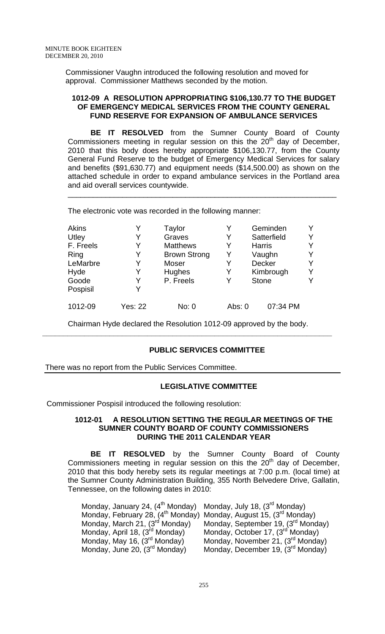Commissioner Vaughn introduced the following resolution and moved for approval. Commissioner Matthews seconded by the motion.

#### **1012-09 A RESOLUTION APPROPRIATING \$106,130.77 TO THE BUDGET OF EMERGENCY MEDICAL SERVICES FROM THE COUNTY GENERAL FUND RESERVE FOR EXPANSION OF AMBULANCE SERVICES**

**BE IT RESOLVED** from the Sumner County Board of County Commissioners meeting in regular session on this the  $20<sup>th</sup>$  day of December, 2010 that this body does hereby appropriate \$106,130.77, from the County General Fund Reserve to the budget of Emergency Medical Services for salary and benefits (\$91,630.77) and equipment needs (\$14,500.00) as shown on the attached schedule in order to expand ambulance services in the Portland area and aid overall services countywide.

\_\_\_\_\_\_\_\_\_\_\_\_\_\_\_\_\_\_\_\_\_\_\_\_\_\_\_\_\_\_\_\_\_\_\_\_\_\_\_\_\_\_\_\_\_\_\_\_\_\_\_\_\_\_\_\_\_\_\_\_\_\_\_\_

The electronic vote was recorded in the following manner:

| <b>Akins</b> |                | Taylor              |          | Geminden      |   |
|--------------|----------------|---------------------|----------|---------------|---|
| Utley        | Y              | Graves              | Y        | Satterfield   | Y |
| F. Freels    |                | <b>Matthews</b>     | Y        | <b>Harris</b> | Y |
| Ring         | Y              | <b>Brown Strong</b> | Y        | Vaughn        | Y |
| LeMarbre     | Y              | Moser               | Y        | <b>Decker</b> | Y |
| Hyde         |                | <b>Hughes</b>       | Y        | Kimbrough     | Y |
| Goode        | Y              | P. Freels           | Y        | <b>Stone</b>  | v |
| Pospisil     |                |                     |          |               |   |
| 1012-09      | <b>Yes: 22</b> | No: 0               | Abs: $0$ | 07:34 PM      |   |

Chairman Hyde declared the Resolution 1012-09 approved by the body. **\_\_\_\_\_\_\_\_\_\_\_\_\_\_\_\_\_\_\_\_\_\_\_\_\_\_\_\_\_\_\_\_\_\_\_\_\_\_\_\_\_\_\_\_\_\_\_\_\_\_\_\_\_\_\_\_\_\_\_\_\_\_\_\_\_\_\_\_\_** 

### **PUBLIC SERVICES COMMITTEE**

There was no report from the Public Services Committee.

### **LEGISLATIVE COMMITTEE**

Commissioner Pospisil introduced the following resolution:

#### **1012-01 A RESOLUTION SETTING THE REGULAR MEETINGS OF THE SUMNER COUNTY BOARD OF COUNTY COMMISSIONERS DURING THE 2011 CALENDAR YEAR**

 **BE IT RESOLVED** by the Sumner County Board of County Commissioners meeting in regular session on this the  $20<sup>th</sup>$  day of December, 2010 that this body hereby sets its regular meetings at 7:00 p.m. (local time) at the Sumner County Administration Building, 355 North Belvedere Drive, Gallatin, Tennessee, on the following dates in 2010:

| Monday, January 24, (4 <sup>th</sup> Monday) Monday, July 18, (3 <sup>rd</sup> Monday)    |                                                |
|-------------------------------------------------------------------------------------------|------------------------------------------------|
| Monday, February 28, (4 <sup>th</sup> Monday) Monday, August 15, (3 <sup>rd</sup> Monday) |                                                |
| Monday, March 21, (3 <sup>rd</sup> Monday)                                                | Monday, September 19, (3 <sup>rd</sup> Monday) |
| Monday, April 18, (3 <sup>rd</sup> Monday)                                                | Monday, October 17, (3 <sup>rd</sup> Monday)   |
| Monday, May 16, (3 <sup>rd</sup> Monday)                                                  | Monday, November 21, (3 <sup>rd</sup> Monday)  |
| Monday, June 20, (3 <sup>rd</sup> Monday)                                                 | Monday, December 19, (3 <sup>rd</sup> Monday)  |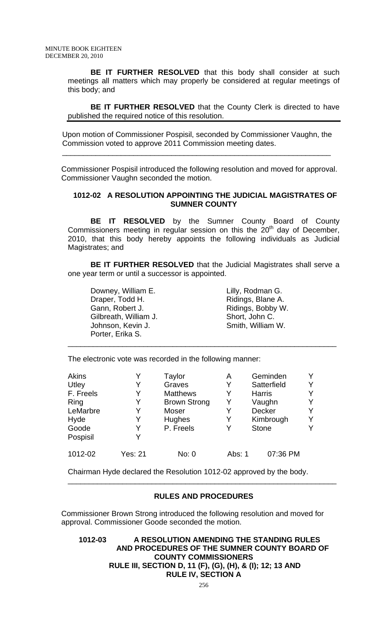**BE IT FURTHER RESOLVED** that this body shall consider at such meetings all matters which may properly be considered at regular meetings of this body; and

**BE IT FURTHER RESOLVED** that the County Clerk is directed to have published the required notice of this resolution.

Upon motion of Commissioner Pospisil, seconded by Commissioner Vaughn, the Commission voted to approve 2011 Commission meeting dates.

\_\_\_\_\_\_\_\_\_\_\_\_\_\_\_\_\_\_\_\_\_\_\_\_\_\_\_\_\_\_\_\_\_\_\_\_\_\_\_\_\_\_\_\_\_\_\_\_\_\_\_\_\_\_\_\_\_\_\_\_\_\_\_\_

Commissioner Pospisil introduced the following resolution and moved for approval. Commissioner Vaughn seconded the motion.

## **1012-02 A RESOLUTION APPOINTING THE JUDICIAL MAGISTRATES OF SUMNER COUNTY**

**BE IT RESOLVED** by the Sumner County Board of County Commissioners meeting in regular session on this the  $20<sup>th</sup>$  day of December, 2010, that this body hereby appoints the following individuals as Judicial Magistrates; and

**BE IT FURTHER RESOLVED** that the Judicial Magistrates shall serve a one year term or until a successor is appointed.

\_\_\_\_\_\_\_\_\_\_\_\_\_\_\_\_\_\_\_\_\_\_\_\_\_\_\_\_\_\_\_\_\_\_\_\_\_\_\_\_\_\_\_\_\_\_\_\_\_\_\_\_\_\_\_\_\_\_\_\_\_\_\_\_

 Downey, William E. Lilly, Rodman G. Gann, Robert J. **Ridings**, Bobby W. Gilbreath, William J. Short, John C. Johnson, Kevin J. Shang Smith, William W. Porter, Erika S.

Ridings, Blane A.

The electronic vote was recorded in the following manner:

| <b>Akins</b> | v              | Taylor              | А      | Geminden      | v |
|--------------|----------------|---------------------|--------|---------------|---|
| Utley        |                | Graves              |        | Satterfield   | Y |
| F. Freels    |                | <b>Matthews</b>     | Y      | <b>Harris</b> | Y |
| Ring         | Y              | <b>Brown Strong</b> | Y      | Vaughn        | Y |
| LeMarbre     |                | Moser               | Y      | <b>Decker</b> | Y |
| Hyde         |                | Hughes              | Y      | Kimbrough     | Y |
| Goode        | Y              | P. Freels           | Y      | <b>Stone</b>  | v |
| Pospisil     | V              |                     |        |               |   |
| 1012-02      | <b>Yes: 21</b> | No: 0               | Abs: 1 | 07:36 PM      |   |

Chairman Hyde declared the Resolution 1012-02 approved by the body.

### **RULES AND PROCEDURES**

\_\_\_\_\_\_\_\_\_\_\_\_\_\_\_\_\_\_\_\_\_\_\_\_\_\_\_\_\_\_\_\_\_\_\_\_\_\_\_\_\_\_\_\_\_\_\_\_\_\_\_\_\_\_\_\_\_\_\_\_\_\_\_\_

Commissioner Brown Strong introduced the following resolution and moved for approval. Commissioner Goode seconded the motion.

**1012-03 A RESOLUTION AMENDING THE STANDING RULES AND PROCEDURES OF THE SUMNER COUNTY BOARD OF COUNTY COMMISSIONERS RULE III, SECTION D, 11 (F), (G), (H), & (I); 12; 13 AND RULE IV, SECTION A**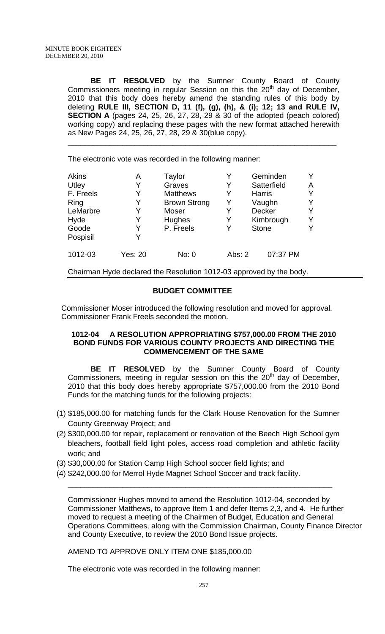**BE IT RESOLVED** by the Sumner County Board of County Commissioners meeting in regular Session on this the 20<sup>th</sup> day of December, 2010 that this body does hereby amend the standing rules of this body by deleting **RULE III, SECTION D, 11 (f), (g), (h), & (i); 12; 13 and RULE IV, SECTION A** (pages 24, 25, 26, 27, 28, 29 & 30 of the adopted (peach colored) working copy) and replacing these pages with the new format attached herewith as New Pages 24, 25, 26, 27, 28, 29 & 30(blue copy).

\_\_\_\_\_\_\_\_\_\_\_\_\_\_\_\_\_\_\_\_\_\_\_\_\_\_\_\_\_\_\_\_\_\_\_\_\_\_\_\_\_\_\_\_\_\_\_\_\_\_\_\_\_\_\_\_\_\_\_\_\_\_\_\_

The electronic vote was recorded in the following manner:

| <b>Akins</b> | Α       | Taylor              | Y        | Geminden      | Y |
|--------------|---------|---------------------|----------|---------------|---|
| Utley        |         | Graves              | Y        | Satterfield   | A |
| F. Freels    |         | <b>Matthews</b>     | Y        | <b>Harris</b> | Y |
| Ring         |         | <b>Brown Strong</b> | Y        | Vaughn        | Y |
| LeMarbre     |         | Moser               | Y        | Decker        | Y |
| Hyde         |         | Hughes              | Y        | Kimbrough     | Y |
| Goode        |         | P. Freels           | Y        | <b>Stone</b>  | v |
| Pospisil     |         |                     |          |               |   |
| 1012-03      | Yes: 20 | No: 0               | Abs: $2$ | 07:37 PM      |   |

Chairman Hyde declared the Resolution 1012-03 approved by the body.

# **BUDGET COMMITTEE**

Commissioner Moser introduced the following resolution and moved for approval. Commissioner Frank Freels seconded the motion.

## **1012-04 A RESOLUTION APPROPRIATING \$757,000.00 FROM THE 2010 BOND FUNDS FOR VARIOUS COUNTY PROJECTS AND DIRECTING THE COMMENCEMENT OF THE SAME**

 **BE IT RESOLVED** by the Sumner County Board of County Commissioners, meeting in regular session on this the  $20<sup>th</sup>$  day of December, 2010 that this body does hereby appropriate \$757,000.00 from the 2010 Bond Funds for the matching funds for the following projects:

- (1) \$185,000.00 for matching funds for the Clark House Renovation for the Sumner County Greenway Project; and
- (2) \$300,000.00 for repair, replacement or renovation of the Beech High School gym bleachers, football field light poles, access road completion and athletic facility work; and

\_\_\_\_\_\_\_\_\_\_\_\_\_\_\_\_\_\_\_\_\_\_\_\_\_\_\_\_\_\_\_\_\_\_\_\_\_\_\_\_\_\_\_\_\_\_\_\_\_\_\_\_\_\_\_\_\_\_\_\_\_\_\_

- (3) \$30,000.00 for Station Camp High School soccer field lights; and
- (4) \$242,000.00 for Merrol Hyde Magnet School Soccer and track facility.

Commissioner Hughes moved to amend the Resolution 1012-04, seconded by Commissioner Matthews, to approve Item 1 and defer Items 2,3, and 4. He further moved to request a meeting of the Chairmen of Budget, Education and General Operations Committees, along with the Commission Chairman, County Finance Director and County Executive, to review the 2010 Bond Issue projects.

AMEND TO APPROVE ONLY ITEM ONE \$185,000.00

The electronic vote was recorded in the following manner: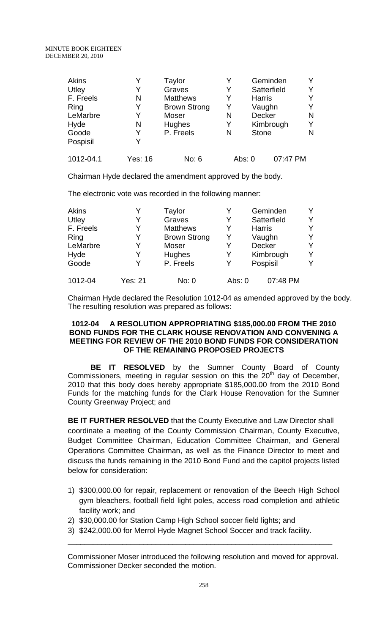#### MINUTE BOOK EIGHTEEN DECEMBER 20, 2010

| <b>Akins</b> |                | Taylor              | Y |               | Geminden    |   |
|--------------|----------------|---------------------|---|---------------|-------------|---|
| Utley        | Y              | Graves              | Y |               | Satterfield |   |
| F. Freels    | N              | <b>Matthews</b>     | Y | <b>Harris</b> |             |   |
| Ring         | Y              | <b>Brown Strong</b> | Y |               | Vaughn      |   |
| LeMarbre     | Y              | Moser               | N | <b>Decker</b> |             | N |
| Hyde         | N              | Hughes              | Y |               | Kimbrough   | Y |
| Goode        | Y              | P. Freels           | N | <b>Stone</b>  |             | N |
| Pospisil     | Y              |                     |   |               |             |   |
| 1012-04.1    | <b>Yes: 16</b> | No: 6               |   | Abs: 0        | 07:47 PM    |   |

Chairman Hyde declared the amendment approved by the body.

The electronic vote was recorded in the following manner:

| <b>Akins</b> |         | Taylor              |        | Geminden      |   |
|--------------|---------|---------------------|--------|---------------|---|
| Utley        |         | Graves              | Y      | Satterfield   | v |
| F. Freels    | Y       | <b>Matthews</b>     | Y      | <b>Harris</b> | v |
| Ring         | V       | <b>Brown Strong</b> | Υ      | Vaughn        | v |
| LeMarbre     |         | Moser               | Y      | Decker        | v |
| Hyde         |         | <b>Hughes</b>       |        | Kimbrough     | Y |
| Goode        |         | P. Freels           | Y      | Pospisil      | v |
| 1012-04      | Yes: 21 | No: 0               | Abs: 0 | 07:48 PM      |   |

Chairman Hyde declared the Resolution 1012-04 as amended approved by the body. The resulting resolution was prepared as follows:

## **1012-04 A RESOLUTION APPROPRIATING \$185,000.00 FROM THE 2010 BOND FUNDS FOR THE CLARK HOUSE RENOVATION AND CONVENING A MEETING FOR REVIEW OF THE 2010 BOND FUNDS FOR CONSIDERATION OF THE REMAINING PROPOSED PROJECTS**

 **BE IT RESOLVED** by the Sumner County Board of County Commissioners, meeting in regular session on this the  $20<sup>th</sup>$  day of December, 2010 that this body does hereby appropriate \$185,000.00 from the 2010 Bond Funds for the matching funds for the Clark House Renovation for the Sumner County Greenway Project; and

**BE IT FURTHER RESOLVED** that the County Executive and Law Director shall coordinate a meeting of the County Commission Chairman, County Executive, Budget Committee Chairman, Education Committee Chairman, and General Operations Committee Chairman, as well as the Finance Director to meet and discuss the funds remaining in the 2010 Bond Fund and the capitol projects listed below for consideration:

- 1) \$300,000.00 for repair, replacement or renovation of the Beech High School gym bleachers, football field light poles, access road completion and athletic facility work; and
- 2) \$30,000.00 for Station Camp High School soccer field lights; and
- 3) \$242,000.00 for Merrol Hyde Magnet School Soccer and track facility.

 Commissioner Moser introduced the following resolution and moved for approval. Commissioner Decker seconded the motion.

\_\_\_\_\_\_\_\_\_\_\_\_\_\_\_\_\_\_\_\_\_\_\_\_\_\_\_\_\_\_\_\_\_\_\_\_\_\_\_\_\_\_\_\_\_\_\_\_\_\_\_\_\_\_\_\_\_\_\_\_\_\_\_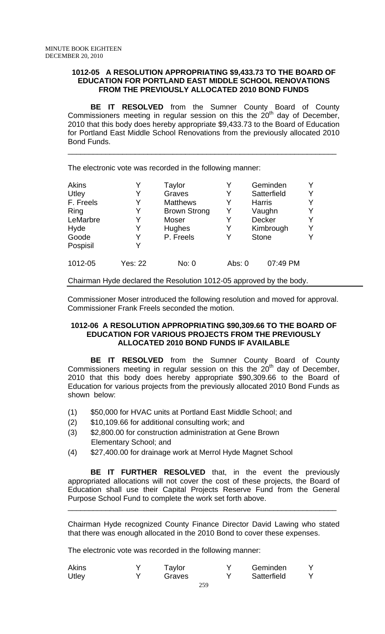### **1012-05 A RESOLUTION APPROPRIATING \$9,433.73 TO THE BOARD OF EDUCATION FOR PORTLAND EAST MIDDLE SCHOOL RENOVATIONS FROM THE PREVIOUSLY ALLOCATED 2010 BOND FUNDS**

**BE IT RESOLVED** from the Sumner County Board of County Commissioners meeting in regular session on this the 20<sup>th</sup> day of December, 2010 that this body does hereby appropriate \$9,433.73 to the Board of Education for Portland East Middle School Renovations from the previously allocated 2010 Bond Funds.

\_\_\_\_\_\_\_\_\_\_\_\_\_\_\_\_\_\_\_\_\_\_\_\_\_\_\_\_\_\_\_\_\_\_\_\_\_\_\_\_\_\_\_\_\_\_\_\_\_\_\_\_\_\_\_\_\_\_\_\_\_\_\_\_

The electronic vote was recorded in the following manner:

| <b>Akins</b> |                | Taylor              | Y      | Geminden      | Y |
|--------------|----------------|---------------------|--------|---------------|---|
| Utley        |                | Graves              |        | Satterfield   | Y |
| F. Freels    |                | <b>Matthews</b>     | Y      | <b>Harris</b> | Y |
| Ring         |                | <b>Brown Strong</b> | Y      | Vaughn        | Y |
| LeMarbre     |                | Moser               | Y      | Decker        | Y |
| Hyde         | Y              | Hughes              | Y      | Kimbrough     | Y |
| Goode        |                | P. Freels           | Y      | <b>Stone</b>  | Y |
| Pospisil     | Y              |                     |        |               |   |
| 1012-05      | <b>Yes: 22</b> | No: 0               | Abs: 0 | 07:49 PM      |   |

Chairman Hyde declared the Resolution 1012-05 approved by the body.

 Commissioner Moser introduced the following resolution and moved for approval. Commissioner Frank Freels seconded the motion.

## **1012-06 A RESOLUTION APPROPRIATING \$90,309.66 TO THE BOARD OF EDUCATION FOR VARIOUS PROJECTS FROM THE PREVIOUSLY ALLOCATED 2010 BOND FUNDS IF AVAILABLE**

**BE IT RESOLVED** from the Sumner County Board of County Commissioners meeting in regular session on this the  $20<sup>th</sup>$  day of December, 2010 that this body does hereby appropriate \$90,309.66 to the Board of Education for various projects from the previously allocated 2010 Bond Funds as shown below:

- (1) \$50,000 for HVAC units at Portland East Middle School; and
- (2) \$10,109.66 for additional consulting work; and
- (3) \$2,800.00 for construction administration at Gene Brown Elementary School; and
- (4) \$27,400.00 for drainage work at Merrol Hyde Magnet School

**BE IT FURTHER RESOLVED** that, in the event the previously appropriated allocations will not cover the cost of these projects, the Board of Education shall use their Capital Projects Reserve Fund from the General Purpose School Fund to complete the work set forth above.

Chairman Hyde recognized County Finance Director David Lawing who stated that there was enough allocated in the 2010 Bond to cover these expenses.

\_\_\_\_\_\_\_\_\_\_\_\_\_\_\_\_\_\_\_\_\_\_\_\_\_\_\_\_\_\_\_\_\_\_\_\_\_\_\_\_\_\_\_\_\_\_\_\_\_\_\_\_\_\_\_\_\_\_\_\_\_\_\_\_

The electronic vote was recorded in the following manner:

| <b>Akins</b> | Taylor | Geminden    |  |
|--------------|--------|-------------|--|
| Utley        | Graves | Satterfield |  |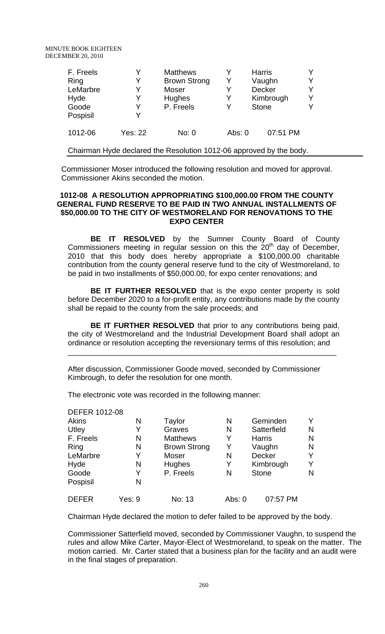| F. Freels |                | <b>Matthews</b>                                                     |          | <b>Harris</b> |   |
|-----------|----------------|---------------------------------------------------------------------|----------|---------------|---|
| Ring      | Y              | <b>Brown Strong</b>                                                 | Y        | Vaughn        | Y |
| LeMarbre  | Y              | Moser                                                               | Y        | <b>Decker</b> | Y |
| Hyde      | Y              | Hughes                                                              | Y        | Kimbrough     | Y |
| Goode     | Y              | P. Freels                                                           | Y        | <b>Stone</b>  | Y |
| Pospisil  | Y              |                                                                     |          |               |   |
| 1012-06   | <b>Yes: 22</b> | No: 0                                                               | Abs: $0$ | 07:51 PM      |   |
|           |                | Chairman Hyde declared the Resolution 1012-06 approved by the body. |          |               |   |

 Commissioner Moser introduced the following resolution and moved for approval. Commissioner Akins seconded the motion.

### **1012-08 A RESOLUTION APPROPRIATING \$100,000.00 FROM THE COUNTY GENERAL FUND RESERVE TO BE PAID IN TWO ANNUAL INSTALLMENTS OF \$50,000.00 TO THE CITY OF WESTMORELAND FOR RENOVATIONS TO THE EXPO CENTER**

**BE IT RESOLVED** by the Sumner County Board of County Commissioners meeting in regular session on this the  $20<sup>th</sup>$  day of December. 2010 that this body does hereby appropriate a \$100,000.00 charitable contribution from the county general reserve fund to the city of Westmoreland, to be paid in two installments of \$50,000.00, for expo center renovations; and

**BE IT FURTHER RESOLVED** that is the expo center property is sold before December 2020 to a for-profit entity, any contributions made by the county shall be repaid to the county from the sale proceeds; and

**BE IT FURTHER RESOLVED** that prior to any contributions being paid, the city of Westmoreland and the Industrial Development Board shall adopt an ordinance or resolution accepting the reversionary terms of this resolution; and

\_\_\_\_\_\_\_\_\_\_\_\_\_\_\_\_\_\_\_\_\_\_\_\_\_\_\_\_\_\_\_\_\_\_\_\_\_\_\_\_\_\_\_\_\_\_\_\_\_\_\_\_\_\_\_\_\_\_\_\_\_\_\_\_

After discussion, Commissioner Goode moved, seconded by Commissioner Kimbrough, to defer the resolution for one month.

The electronic vote was recorded in the following manner:

| <b>DEFER 1012-08</b> |        |                     |        |               |   |
|----------------------|--------|---------------------|--------|---------------|---|
| <b>Akins</b>         | N      | Taylor              | N      | Geminden      |   |
| Utley                | Y      | Graves              | N      | Satterfield   | N |
| F. Freels            | N      | <b>Matthews</b>     | Y      | <b>Harris</b> | N |
| Ring                 | N      | <b>Brown Strong</b> | Y      | Vaughn        | N |
| LeMarbre             | Y      | Moser               | N      | <b>Decker</b> | Y |
| Hyde                 | N      | Hughes              | Y      | Kimbrough     | Y |
| Goode                | Y      | P. Freels           | N      | <b>Stone</b>  | N |
| Pospisil             | N      |                     |        |               |   |
| <b>DEFER</b>         | Yes: 9 | No: 13              | Abs: 0 | 07:57 PM      |   |

Chairman Hyde declared the motion to defer failed to be approved by the body.

Commissioner Satterfield moved, seconded by Commissioner Vaughn, to suspend the rules and allow Mike Carter, Mayor-Elect of Westmoreland, to speak on the matter. The motion carried. Mr. Carter stated that a business plan for the facility and an audit were in the final stages of preparation.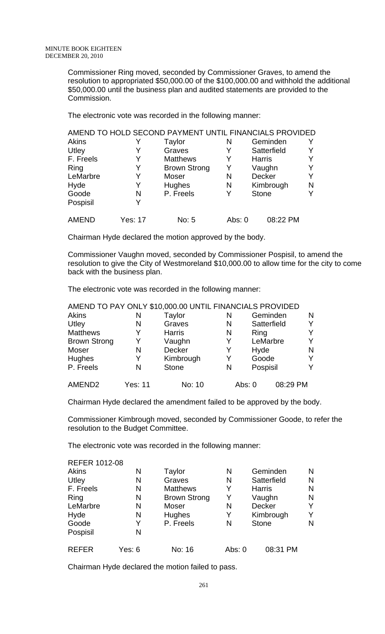Commissioner Ring moved, seconded by Commissioner Graves, to amend the resolution to appropriated \$50,000.00 of the \$100,000.00 and withhold the additional \$50,000.00 until the business plan and audited statements are provided to the Commission.

The electronic vote was recorded in the following manner:

|              |                | AMEND TO HOLD SECOND PAYMENT UNTIL FINANCIALS PROVIDED |        |               |   |
|--------------|----------------|--------------------------------------------------------|--------|---------------|---|
| Akins        |                | Taylor                                                 | N      | Geminden      |   |
| Utley        |                | Graves                                                 | Y      | Satterfield   |   |
| F. Freels    | Y              | <b>Matthews</b>                                        | Y      | <b>Harris</b> |   |
| Ring         | Y              | <b>Brown Strong</b>                                    | Y      | Vaughn        |   |
| LeMarbre     | Y              | Moser                                                  | N      | <b>Decker</b> |   |
| Hyde         | Y              | <b>Hughes</b>                                          | N      | Kimbrough     | N |
| Goode        | N              | P. Freels                                              | Y      | <b>Stone</b>  |   |
| Pospisil     |                |                                                        |        |               |   |
| <b>AMEND</b> | <b>Yes: 17</b> | No: 5                                                  | Abs: 0 | 08:22 PM      |   |

Chairman Hyde declared the motion approved by the body.

Commissioner Vaughn moved, seconded by Commissioner Pospisil, to amend the resolution to give the City of Westmoreland \$10,000.00 to allow time for the city to come back with the business plan.

The electronic vote was recorded in the following manner:

|                     |                | AMEND TO PAY ONLY \$10,000.00 UNTIL FINANCIALS PROVIDED |   |                      |   |
|---------------------|----------------|---------------------------------------------------------|---|----------------------|---|
| Akins               | N              | Taylor                                                  | N | Geminden             | N |
| Utley               | N              | Graves                                                  | N | Satterfield          |   |
| <b>Matthews</b>     | Y              | <b>Harris</b>                                           | N | Ring                 |   |
| <b>Brown Strong</b> | Y              | Vaughn                                                  | Y | LeMarbre             | v |
| Moser               | N              | <b>Decker</b>                                           | Y | Hyde                 | N |
| Hughes              |                | Kimbrough                                               | Y | Goode                |   |
| P. Freels           | N              | <b>Stone</b>                                            | N | Pospisil             |   |
| AMEND <sub>2</sub>  | <b>Yes: 11</b> | No: 10                                                  |   | 08:29 PM<br>Abs: $0$ |   |

 $\overline{A}$ 

Chairman Hyde declared the amendment failed to be approved by the body.

Commissioner Kimbrough moved, seconded by Commissioner Goode, to refer the resolution to the Budget Committee.

The electronic vote was recorded in the following manner:

| <b>REFER 1012-08</b> |        |                     |        |               |   |
|----------------------|--------|---------------------|--------|---------------|---|
| Akins                | Ν      | Taylor              | N      | Geminden      | N |
| Utley                | N      | Graves              | N      | Satterfield   | N |
| F. Freels            | N      | <b>Matthews</b>     | Y      | <b>Harris</b> | N |
| Ring                 | N      | <b>Brown Strong</b> | Y      | Vaughn        | N |
| LeMarbre             | N      | Moser               | N      | <b>Decker</b> | Y |
| Hyde                 | N      | Hughes              | Y      | Kimbrough     | Y |
| Goode                | Y      | P. Freels           | N      | <b>Stone</b>  | N |
| Pospisil             | N      |                     |        |               |   |
| <b>REFER</b>         | Yes: 6 | No: 16              | Abs: 0 | 08:31 PM      |   |

Chairman Hyde declared the motion failed to pass.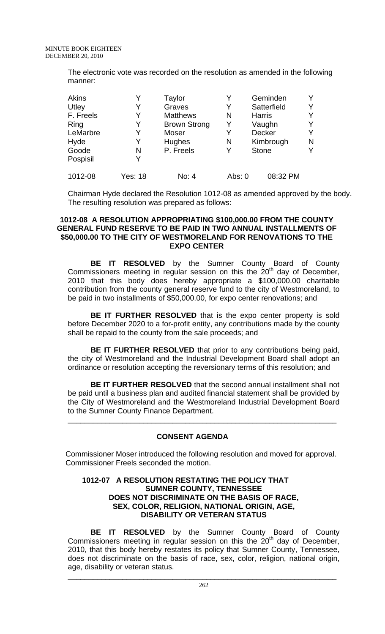The electronic vote was recorded on the resolution as amended in the following manner:

| <b>Akins</b> | Y              | Taylor              | Y      | Geminden      |   |
|--------------|----------------|---------------------|--------|---------------|---|
| Utley        |                | Graves              | Y      | Satterfield   | Y |
| F. Freels    |                | <b>Matthews</b>     | N      | <b>Harris</b> |   |
| Ring         | Y              | <b>Brown Strong</b> | Y      | Vaughn        |   |
| LeMarbre     | Y              | Moser               | Y      | Decker        | Y |
| Hyde         |                | Hughes              | N      | Kimbrough     | N |
| Goode        | N              | P. Freels           | Y      | <b>Stone</b>  |   |
| Pospisil     | Y              |                     |        |               |   |
| 1012-08      | <b>Yes: 18</b> | No: 4               | Abs: 0 | 08:32 PM      |   |

Chairman Hyde declared the Resolution 1012-08 as amended approved by the body. The resulting resolution was prepared as follows:

### **1012-08 A RESOLUTION APPROPRIATING \$100,000.00 FROM THE COUNTY GENERAL FUND RESERVE TO BE PAID IN TWO ANNUAL INSTALLMENTS OF \$50,000.00 TO THE CITY OF WESTMORELAND FOR RENOVATIONS TO THE EXPO CENTER**

**BE IT RESOLVED** by the Sumner County Board of County Commissioners meeting in regular session on this the  $20<sup>th</sup>$  day of December, 2010 that this body does hereby appropriate a \$100,000.00 charitable contribution from the county general reserve fund to the city of Westmoreland, to be paid in two installments of \$50,000.00, for expo center renovations; and

**BE IT FURTHER RESOLVED** that is the expo center property is sold before December 2020 to a for-profit entity, any contributions made by the county shall be repaid to the county from the sale proceeds; and

**BE IT FURTHER RESOLVED** that prior to any contributions being paid, the city of Westmoreland and the Industrial Development Board shall adopt an ordinance or resolution accepting the reversionary terms of this resolution; and

**BE IT FURTHER RESOLVED** that the second annual installment shall not be paid until a business plan and audited financial statement shall be provided by the City of Westmoreland and the Westmoreland Industrial Development Board to the Sumner County Finance Department.

\_\_\_\_\_\_\_\_\_\_\_\_\_\_\_\_\_\_\_\_\_\_\_\_\_\_\_\_\_\_\_\_\_\_\_\_\_\_\_\_\_\_\_\_\_\_\_\_\_\_\_\_\_\_\_\_\_\_\_\_\_\_\_\_

# **CONSENT AGENDA**

 Commissioner Moser introduced the following resolution and moved for approval. Commissioner Freels seconded the motion.

## **1012-07 A RESOLUTION RESTATING THE POLICY THAT SUMNER COUNTY, TENNESSEE DOES NOT DISCRIMINATE ON THE BASIS OF RACE, SEX, COLOR, RELIGION, NATIONAL ORIGIN, AGE, DISABILITY OR VETERAN STATUS**

**BE IT RESOLVED** by the Sumner County Board of County Commissioners meeting in regular session on this the  $20<sup>th</sup>$  day of December, 2010, that this body hereby restates its policy that Sumner County, Tennessee, does not discriminate on the basis of race, sex, color, religion, national origin, age, disability or veteran status.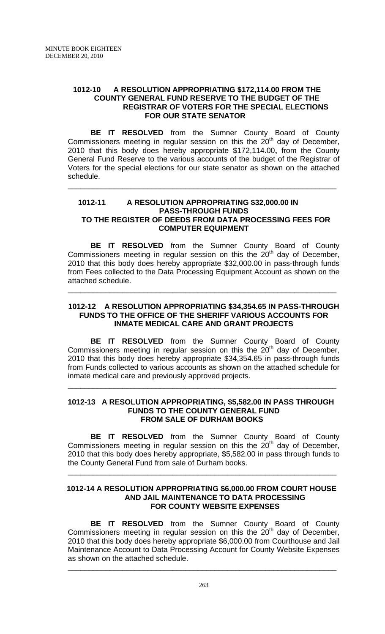### **1012-10 A RESOLUTION APPROPRIATING \$172,114.00 FROM THE COUNTY GENERAL FUND RESERVE TO THE BUDGET OF THE REGISTRAR OF VOTERS FOR THE SPECIAL ELECTIONS FOR OUR STATE SENATOR**

**BE IT RESOLVED** from the Sumner County Board of County Commissioners meeting in regular session on this the  $20<sup>th</sup>$  day of December, 2010 that this body does hereby appropriate \$172,114.00**,** from the County General Fund Reserve to the various accounts of the budget of the Registrar of Voters for the special elections for our state senator as shown on the attached schedule.

# **1012-11 A RESOLUTION APPROPRIATING \$32,000.00 IN PASS-THROUGH FUNDS TO THE REGISTER OF DEEDS FROM DATA PROCESSING FEES FOR COMPUTER EQUIPMENT**

\_\_\_\_\_\_\_\_\_\_\_\_\_\_\_\_\_\_\_\_\_\_\_\_\_\_\_\_\_\_\_\_\_\_\_\_\_\_\_\_\_\_\_\_\_\_\_\_\_\_\_\_\_\_\_\_\_\_\_\_\_\_\_\_

**BE IT RESOLVED** from the Sumner County Board of County Commissioners meeting in regular session on this the  $20<sup>th</sup>$  day of December, 2010 that this body does hereby appropriate \$32,000.00 in pass-through funds from Fees collected to the Data Processing Equipment Account as shown on the attached schedule.

## **1012-12 A RESOLUTION APPROPRIATING \$34,354.65 IN PASS-THROUGH FUNDS TO THE OFFICE OF THE SHERIFF VARIOUS ACCOUNTS FOR INMATE MEDICAL CARE AND GRANT PROJECTS**

\_\_\_\_\_\_\_\_\_\_\_\_\_\_\_\_\_\_\_\_\_\_\_\_\_\_\_\_\_\_\_\_\_\_\_\_\_\_\_\_\_\_\_\_\_\_\_\_\_\_\_\_\_\_\_\_\_\_\_\_\_\_\_\_

**BE IT RESOLVED** from the Sumner County Board of County Commissioners meeting in regular session on this the  $20<sup>th</sup>$  day of December, 2010 that this body does hereby appropriate \$34,354.65 in pass-through funds from Funds collected to various accounts as shown on the attached schedule for inmate medical care and previously approved projects.

#### **1012-13 A RESOLUTION APPROPRIATING, \$5,582.00 IN PASS THROUGH FUNDS TO THE COUNTY GENERAL FUND FROM SALE OF DURHAM BOOKS**

\_\_\_\_\_\_\_\_\_\_\_\_\_\_\_\_\_\_\_\_\_\_\_\_\_\_\_\_\_\_\_\_\_\_\_\_\_\_\_\_\_\_\_\_\_\_\_\_\_\_\_\_\_\_\_\_\_\_\_\_\_\_\_\_

**BE IT RESOLVED** from the Sumner County Board of County Commissioners meeting in regular session on this the  $20<sup>th</sup>$  day of December, 2010 that this body does hereby appropriate, \$5,582.00 in pass through funds to the County General Fund from sale of Durham books.

#### **1012-14 A RESOLUTION APPROPRIATING \$6,000.00 FROM COURT HOUSE AND JAIL MAINTENANCE TO DATA PROCESSING FOR COUNTY WEBSITE EXPENSES**

\_\_\_\_\_\_\_\_\_\_\_\_\_\_\_\_\_\_\_\_\_\_\_\_\_\_\_\_\_\_\_\_\_\_\_\_\_\_\_\_\_\_\_\_\_\_\_\_\_\_\_\_\_\_\_\_\_\_\_\_\_\_\_\_

**BE IT RESOLVED** from the Sumner County Board of County  $Commissioners meeting in regular session on this the  $20<sup>th</sup>$  day of December,$ 2010 that this body does hereby appropriate \$6,000.00 from Courthouse and Jail Maintenance Account to Data Processing Account for County Website Expenses as shown on the attached schedule.

\_\_\_\_\_\_\_\_\_\_\_\_\_\_\_\_\_\_\_\_\_\_\_\_\_\_\_\_\_\_\_\_\_\_\_\_\_\_\_\_\_\_\_\_\_\_\_\_\_\_\_\_\_\_\_\_\_\_\_\_\_\_\_\_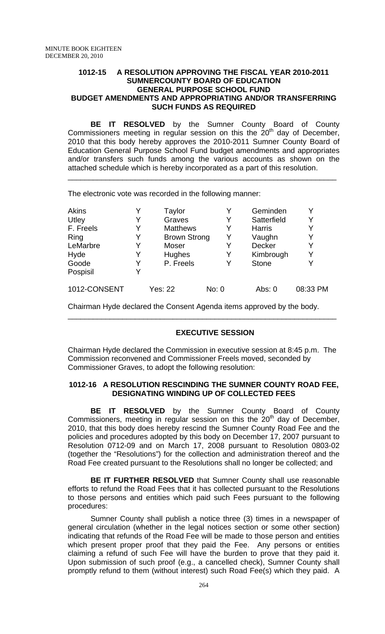#### **1012-15 A RESOLUTION APPROVING THE FISCAL YEAR 2010-2011 SUMNERCOUNTY BOARD OF EDUCATION GENERAL PURPOSE SCHOOL FUND BUDGET AMENDMENTS AND APPROPRIATING AND/OR TRANSFERRING SUCH FUNDS AS REQUIRED**

**BE IT RESOLVED** by the Sumner County Board of County Commissioners meeting in regular session on this the  $20<sup>th</sup>$  day of December, 2010 that this body hereby approves the 2010-2011 Sumner County Board of Education General Purpose School Fund budget amendments and appropriates and/or transfers such funds among the various accounts as shown on the attached schedule which is hereby incorporated as a part of this resolution.

\_\_\_\_\_\_\_\_\_\_\_\_\_\_\_\_\_\_\_\_\_\_\_\_\_\_\_\_\_\_\_\_\_\_\_\_\_\_\_\_\_\_\_\_\_\_\_\_\_\_\_\_\_\_\_\_\_\_\_\_\_\_\_\_

The electronic vote was recorded in the following manner:

| <b>Akins</b> |   | Taylor              | Y     | Geminden      |          |
|--------------|---|---------------------|-------|---------------|----------|
| Utley        | Y | Graves              | Y     | Satterfield   | Y        |
| F. Freels    | Y | <b>Matthews</b>     | Y     | <b>Harris</b> |          |
| Ring         | Y | <b>Brown Strong</b> | Y     | Vaughn        | Y        |
| LeMarbre     | Y | Moser               | Y     | Decker        | Y        |
| Hyde         | Y | Hughes              | Y     | Kimbrough     | Y        |
| Goode        | Y | P. Freels           | Y     | <b>Stone</b>  | Y        |
| Pospisil     | Y |                     |       |               |          |
| 1012-CONSENT |   | <b>Yes: 22</b>      | No: 0 | Abs: $0$      | 08:33 PM |

Chairman Hyde declared the Consent Agenda items approved by the body.

# **EXECUTIVE SESSION**

Chairman Hyde declared the Commission in executive session at 8:45 p.m. The Commission reconvened and Commissioner Freels moved, seconded by Commissioner Graves, to adopt the following resolution:

\_\_\_\_\_\_\_\_\_\_\_\_\_\_\_\_\_\_\_\_\_\_\_\_\_\_\_\_\_\_\_\_\_\_\_\_\_\_\_\_\_\_\_\_\_\_\_\_\_\_\_\_\_\_\_\_\_\_\_\_\_\_\_\_

# **1012-16 A RESOLUTION RESCINDING THE SUMNER COUNTY ROAD FEE, DESIGNATING WINDING UP OF COLLECTED FEES**

 **BE IT RESOLVED** by the Sumner County Board of County Commissioners, meeting in regular session on this the  $20<sup>th</sup>$  day of December, 2010, that this body does hereby rescind the Sumner County Road Fee and the policies and procedures adopted by this body on December 17, 2007 pursuant to Resolution 0712-09 and on March 17, 2008 pursuant to Resolution 0803-02 (together the "Resolutions") for the collection and administration thereof and the Road Fee created pursuant to the Resolutions shall no longer be collected; and

**BE IT FURTHER RESOLVED** that Sumner County shall use reasonable efforts to refund the Road Fees that it has collected pursuant to the Resolutions to those persons and entities which paid such Fees pursuant to the following procedures:

Sumner County shall publish a notice three (3) times in a newspaper of general circulation (whether in the legal notices section or some other section) indicating that refunds of the Road Fee will be made to those person and entities which present proper proof that they paid the Fee. Any persons or entities claiming a refund of such Fee will have the burden to prove that they paid it. Upon submission of such proof (e.g., a cancelled check), Sumner County shall promptly refund to them (without interest) such Road Fee(s) which they paid. A